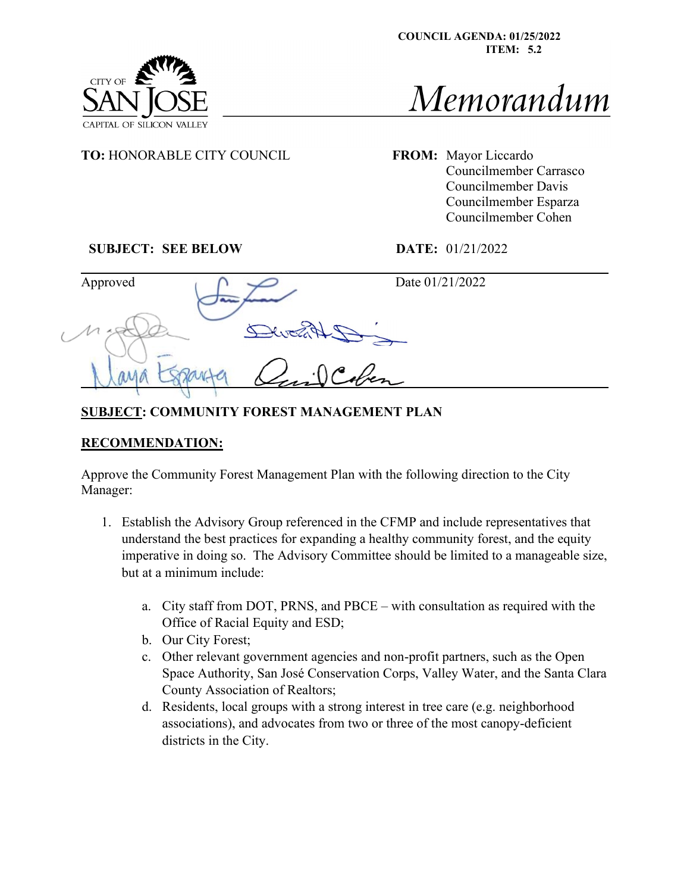



Memorandum

**TO:** HONORABLE CITY COUNCIL FROM: Mayor Liccardo

Councilmember Carrasco Councilmember Davis Councilmember Esparza Councilmember Cohen

## **SUBJECT: SEE BELOW DATE:** 01/21/2022

CITY OF

| Approved | Date 01/21/2022 |  |
|----------|-----------------|--|
|          |                 |  |
|          |                 |  |

## **SUBJECT: COMMUNITY FOREST MANAGEMENT PLAN**

## **RECOMMENDATION:**

Approve the Community Forest Management Plan with the following direction to the City Manager:

- 1. Establish the Advisory Group referenced in the CFMP and include representatives that understand the best practices for expanding a healthy community forest, and the equity imperative in doing so. The Advisory Committee should be limited to a manageable size, but at a minimum include:
	- a. City staff from DOT, PRNS, and PBCE with consultation as required with the Office of Racial Equity and ESD;
	- b. Our City Forest;
	- c. Other relevant government agencies and non-profit partners, such as the Open Space Authority, San José Conservation Corps, Valley Water, and the Santa Clara County Association of Realtors;
	- d. Residents, local groups with a strong interest in tree care (e.g. neighborhood associations), and advocates from two or three of the most canopy-deficient districts in the City.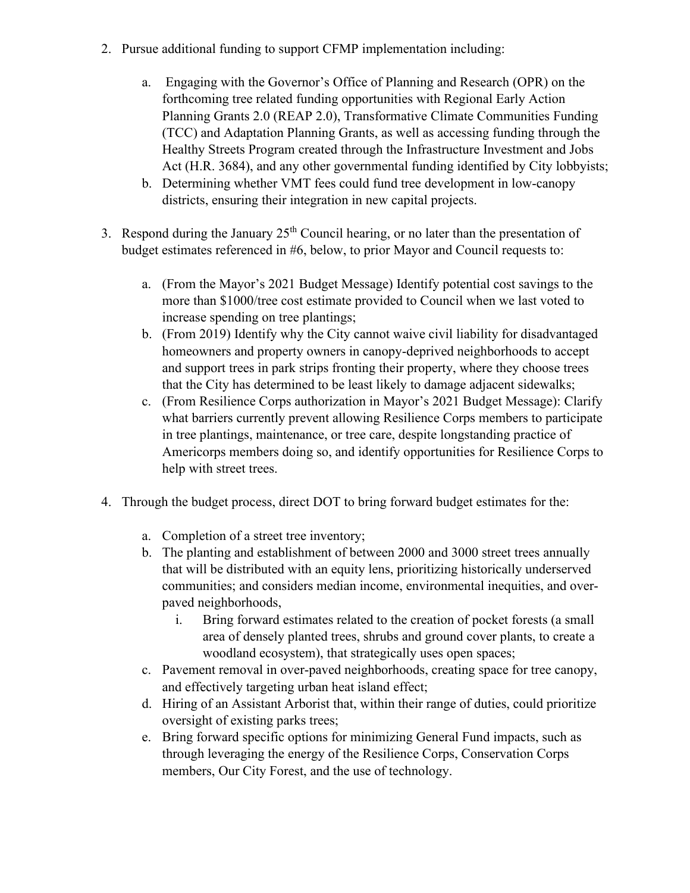- 2. Pursue additional funding to support CFMP implementation including:
	- a. Engaging with the Governor's Office of Planning and Research (OPR) on the forthcoming tree related funding opportunities with Regional Early Action Planning Grants 2.0 (REAP 2.0), Transformative Climate Communities Funding (TCC) and Adaptation Planning Grants, as well as accessing funding through the Healthy Streets Program created through the Infrastructure Investment and Jobs Act (H.R. 3684), and any other governmental funding identified by City lobbyists;
	- b. Determining whether VMT fees could fund tree development in low-canopy districts, ensuring their integration in new capital projects.
- 3. Respond during the January  $25<sup>th</sup>$  Council hearing, or no later than the presentation of budget estimates referenced in #6, below, to prior Mayor and Council requests to:
	- a. (From the Mayor's 2021 Budget Message) Identify potential cost savings to the more than \$1000/tree cost estimate provided to Council when we last voted to increase spending on tree plantings;
	- b. (From 2019) Identify why the City cannot waive civil liability for disadvantaged homeowners and property owners in canopy-deprived neighborhoods to accept and support trees in park strips fronting their property, where they choose trees that the City has determined to be least likely to damage adjacent sidewalks;
	- c. (From Resilience Corps authorization in Mayor's 2021 Budget Message): Clarify what barriers currently prevent allowing Resilience Corps members to participate in tree plantings, maintenance, or tree care, despite longstanding practice of Americorps members doing so, and identify opportunities for Resilience Corps to help with street trees.
- 4. Through the budget process, direct DOT to bring forward budget estimates for the:
	- a. Completion of a street tree inventory;
	- b. The planting and establishment of between 2000 and 3000 street trees annually that will be distributed with an equity lens, prioritizing historically underserved communities; and considers median income, environmental inequities, and overpaved neighborhoods,
		- i. Bring forward estimates related to the creation of pocket forests (a small area of densely planted trees, shrubs and ground cover plants, to create a woodland ecosystem), that strategically uses open spaces;
	- c. Pavement removal in over-paved neighborhoods, creating space for tree canopy, and effectively targeting urban heat island effect;
	- d. Hiring of an Assistant Arborist that, within their range of duties, could prioritize oversight of existing parks trees;
	- e. Bring forward specific options for minimizing General Fund impacts, such as through leveraging the energy of the Resilience Corps, Conservation Corps members, Our City Forest, and the use of technology.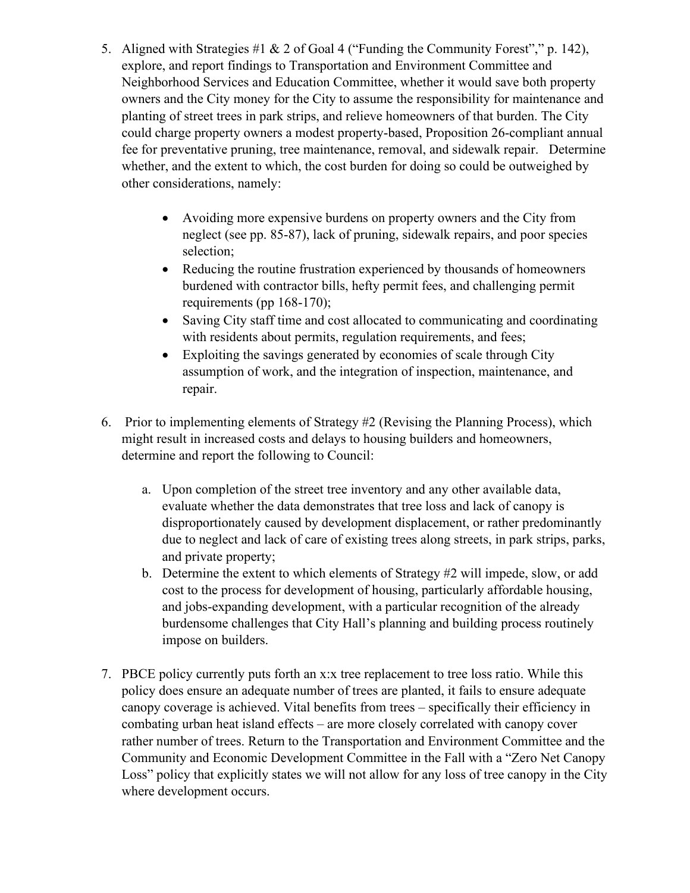- 5. Aligned with Strategies #1 & 2 of Goal 4 ("Funding the Community Forest"," p. 142), explore, and report findings to Transportation and Environment Committee and Neighborhood Services and Education Committee, whether it would save both property owners and the City money for the City to assume the responsibility for maintenance and planting of street trees in park strips, and relieve homeowners of that burden. The City could charge property owners a modest property-based, Proposition 26-compliant annual fee for preventative pruning, tree maintenance, removal, and sidewalk repair. Determine whether, and the extent to which, the cost burden for doing so could be outweighed by other considerations, namely:
	- Avoiding more expensive burdens on property owners and the City from neglect (see pp. 85-87), lack of pruning, sidewalk repairs, and poor species selection;
	- Reducing the routine frustration experienced by thousands of homeowners burdened with contractor bills, hefty permit fees, and challenging permit requirements (pp 168-170);
	- Saving City staff time and cost allocated to communicating and coordinating with residents about permits, regulation requirements, and fees;
	- Exploiting the savings generated by economies of scale through City assumption of work, and the integration of inspection, maintenance, and repair.
- 6. Prior to implementing elements of Strategy #2 (Revising the Planning Process), which might result in increased costs and delays to housing builders and homeowners, determine and report the following to Council:
	- a. Upon completion of the street tree inventory and any other available data, evaluate whether the data demonstrates that tree loss and lack of canopy is disproportionately caused by development displacement, or rather predominantly due to neglect and lack of care of existing trees along streets, in park strips, parks, and private property;
	- b. Determine the extent to which elements of Strategy #2 will impede, slow, or add cost to the process for development of housing, particularly affordable housing, and jobs-expanding development, with a particular recognition of the already burdensome challenges that City Hall's planning and building process routinely impose on builders.
- 7. PBCE policy currently puts forth an x:x tree replacement to tree loss ratio. While this policy does ensure an adequate number of trees are planted, it fails to ensure adequate canopy coverage is achieved. Vital benefits from trees – specifically their efficiency in combating urban heat island effects – are more closely correlated with canopy cover rather number of trees. Return to the Transportation and Environment Committee and the Community and Economic Development Committee in the Fall with a "Zero Net Canopy Loss" policy that explicitly states we will not allow for any loss of tree canopy in the City where development occurs.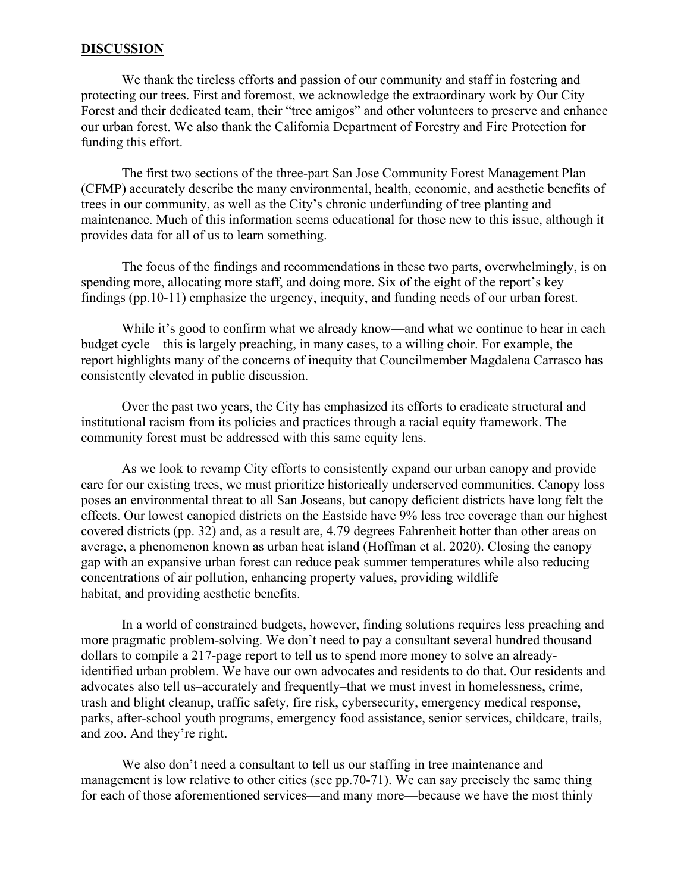## **DISCUSSION**

We thank the tireless efforts and passion of our community and staff in fostering and protecting our trees. First and foremost, we acknowledge the extraordinary work by Our City Forest and their dedicated team, their "tree amigos" and other volunteers to preserve and enhance our urban forest. We also thank the California Department of Forestry and Fire Protection for funding this effort.

The first two sections of the three-part San Jose Community Forest Management Plan (CFMP) accurately describe the many environmental, health, economic, and aesthetic benefits of trees in our community, as well as the City's chronic underfunding of tree planting and maintenance. Much of this information seems educational for those new to this issue, although it provides data for all of us to learn something.

The focus of the findings and recommendations in these two parts, overwhelmingly, is on spending more, allocating more staff, and doing more. Six of the eight of the report's key findings (pp.10-11) emphasize the urgency, inequity, and funding needs of our urban forest.

While it's good to confirm what we already know—and what we continue to hear in each budget cycle—this is largely preaching, in many cases, to a willing choir. For example, the report highlights many of the concerns of inequity that Councilmember Magdalena Carrasco has consistently elevated in public discussion.

Over the past two years, the City has emphasized its efforts to eradicate structural and institutional racism from its policies and practices through a racial equity framework. The community forest must be addressed with this same equity lens.

As we look to revamp City efforts to consistently expand our urban canopy and provide care for our existing trees, we must prioritize historically underserved communities. Canopy loss poses an environmental threat to all San Joseans, but canopy deficient districts have long felt the effects. Our lowest canopied districts on the Eastside have 9% less tree coverage than our highest covered districts (pp. 32) and, as a result are, 4.79 degrees Fahrenheit hotter than other areas on average, a phenomenon known as urban heat island (Hoffman et al. 2020). Closing the canopy gap with an expansive urban forest can reduce peak summer temperatures while also reducing concentrations of air pollution, enhancing property values, providing wildlife habitat, and providing aesthetic benefits.

In a world of constrained budgets, however, finding solutions requires less preaching and more pragmatic problem-solving. We don't need to pay a consultant several hundred thousand dollars to compile a 217-page report to tell us to spend more money to solve an alreadyidentified urban problem. We have our own advocates and residents to do that. Our residents and advocates also tell us–accurately and frequently–that we must invest in homelessness, crime, trash and blight cleanup, traffic safety, fire risk, cybersecurity, emergency medical response, parks, after-school youth programs, emergency food assistance, senior services, childcare, trails, and zoo. And they're right.

We also don't need a consultant to tell us our staffing in tree maintenance and management is low relative to other cities (see pp.70-71). We can say precisely the same thing for each of those aforementioned services—and many more—because we have the most thinly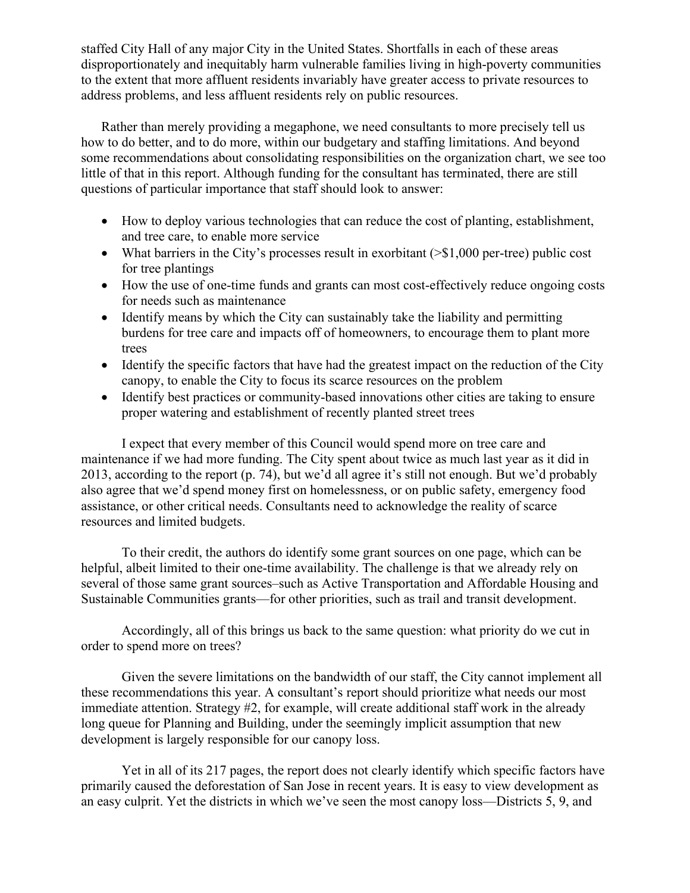staffed City Hall of any major City in the United States. Shortfalls in each of these areas disproportionately and inequitably harm vulnerable families living in high-poverty communities to the extent that more affluent residents invariably have greater access to private resources to address problems, and less affluent residents rely on public resources.

Rather than merely providing a megaphone, we need consultants to more precisely tell us how to do better, and to do more, within our budgetary and staffing limitations. And beyond some recommendations about consolidating responsibilities on the organization chart, we see too little of that in this report. Although funding for the consultant has terminated, there are still questions of particular importance that staff should look to answer:

- How to deploy various technologies that can reduce the cost of planting, establishment, and tree care, to enable more service
- What barriers in the City's processes result in exorbitant ( $>$ \$1,000 per-tree) public cost for tree plantings
- How the use of one-time funds and grants can most cost-effectively reduce ongoing costs for needs such as maintenance
- Identify means by which the City can sustainably take the liability and permitting burdens for tree care and impacts off of homeowners, to encourage them to plant more trees
- Identify the specific factors that have had the greatest impact on the reduction of the City canopy, to enable the City to focus its scarce resources on the problem
- Identify best practices or community-based innovations other cities are taking to ensure proper watering and establishment of recently planted street trees

I expect that every member of this Council would spend more on tree care and maintenance if we had more funding. The City spent about twice as much last year as it did in 2013, according to the report (p. 74), but we'd all agree it's still not enough. But we'd probably also agree that we'd spend money first on homelessness, or on public safety, emergency food assistance, or other critical needs. Consultants need to acknowledge the reality of scarce resources and limited budgets.

To their credit, the authors do identify some grant sources on one page, which can be helpful, albeit limited to their one-time availability. The challenge is that we already rely on several of those same grant sources–such as Active Transportation and Affordable Housing and Sustainable Communities grants—for other priorities, such as trail and transit development.

Accordingly, all of this brings us back to the same question: what priority do we cut in order to spend more on trees?

Given the severe limitations on the bandwidth of our staff, the City cannot implement all these recommendations this year. A consultant's report should prioritize what needs our most immediate attention. Strategy #2, for example, will create additional staff work in the already long queue for Planning and Building, under the seemingly implicit assumption that new development is largely responsible for our canopy loss.

Yet in all of its 217 pages, the report does not clearly identify which specific factors have primarily caused the deforestation of San Jose in recent years. It is easy to view development as an easy culprit. Yet the districts in which we've seen the most canopy loss—Districts 5, 9, and